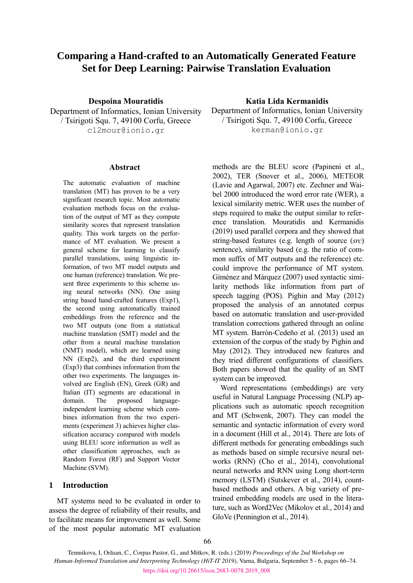# **Comparing a Hand-crafted to an Automatically Generated Feature Set for Deep Learning: Pairwise Translation Evaluation**

Department of Informatics, Ionian University / Tsirigoti Squ. 7, 49100 Corfu, Greece c12mour@ionio.gr

#### **Abstract**

The automatic evaluation of machine translation (MT) has proven to be a very significant research topic. Most automatic evaluation methods focus on the evaluation of the output of MT as they compute similarity scores that represent translation quality. This work targets on the performance of MT evaluation. We present a general scheme for learning to classify parallel translations, using linguistic information, of two MT model outputs and one human (reference) translation. We present three experiments to this scheme using neural networks (NN). One using string based hand-crafted features (Exp1), the second using automatically trained embeddings from the reference and the two MT outputs (one from a statistical machine translation (SMT) model and the other from a neural machine translation (NMT) model), which are learned using NN (Exp2), and the third experiment (Exp3) that combines information from the other two experiments. The languages involved are English (EN), Greek (GR) and Italian (IT) segments are educational in domain. The proposed languageindependent learning scheme which combines information from the two experiments (experiment 3) achieves higher classification accuracy compared with models using BLEU score information as well as other classification approaches, such as Random Forest (RF) and Support Vector Machine (SVM).

### **1 Introduction**

MT systems need to be evaluated in order to assess the degree of reliability of their results, and to facilitate means for improvement as well. Some of the most popular automatic MT evaluation

#### **Despoina Mouratidis Katia Lida Kermanidis**

Department of Informatics, Ionian University / Tsirigoti Squ. 7, 49100 Corfu, Greece kerman@ionio.gr

methods are the BLEU score (Papineni et al., 2002), TER (Snover et al., 2006), METEOR (Lavie and Agarwal, 2007) etc. Zechner and Waibel 2000 introduced the word error rate (WER), a lexical similarity metric. WER uses the number of steps required to make the output similar to reference translation. Mouratidis and Kermanidis (2019) used parallel corpora and they showed that string-based features (e.g. length of source (*src*) sentence), similarity based (e.g. the ratio of common suffix of MT outputs and the reference) etc. could improve the performance of MT system. Giménez and Màrquez (2007) used syntactic similarity methods like information from part of speech tagging (POS). Pighin and May (2012) proposed the analysis of an annotated corpus based on automatic translation and user-provided translation corrections gathered through an online MT system. Barrón-Cedeño et al. (2013) used an extension of the corpus of the study by Pighin and May (2012). They introduced new features and they tried different configurations of classifiers. Both papers showed that the quality of an SMT system can be improved.

Word representations (embeddings) are very useful in Natural Language Processing (NLP) applications such as automatic speech recognition and MT (Schwenk, 2007). They can model the semantic and syntactic information of every word in a document (Hill et al., 2014). There are lots of different methods for generating embeddings such as methods based on simple recursive neural networks (RNN) (Cho et al., 2014), convolutional neural networks and RNN using Long short-term memory (LSTM) (Sutskever et al., 2014), countbased methods and others. A big variety of pretrained embedding models are used in the literature, such as Word2Vec (Mikolov et al., 2014) and GloVe (Pennington et al., 2014).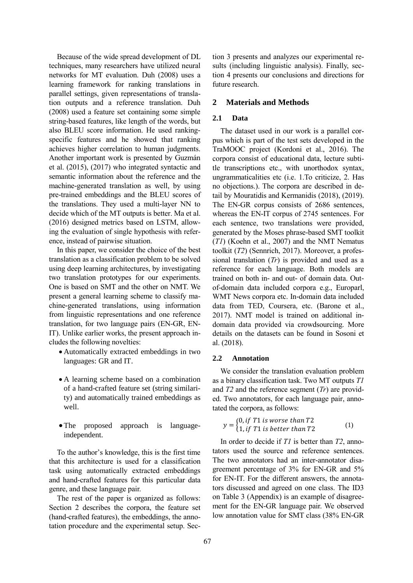Because of the wide spread development of DL techniques, many researchers have utilized neural networks for MT evaluation. Duh (2008) uses a learning framework for ranking translations in parallel settings, given representations of translation outputs and a reference translation. Duh (2008) used a feature set containing some simple string-based features, like length of the words, but also BLEU score information. He used rankingspecific features and he showed that ranking achieves higher correlation to human judgments. Another important work is presented by Guzmán et al. (2015), (2017) who integrated syntactic and semantic information about the reference and the machine-generated translation as well, by using pre-trained embeddings and the BLEU scores of the translations. They used a multi-layer NN to decide which of the MT outputs is better. Ma et al. (2016) designed metrics based on LSTM, allowing the evaluation of single hypothesis with reference, instead of pairwise situation.

In this paper, we consider the choice of the best translation as a classification problem to be solved using deep learning architectures, by investigating two translation prototypes for our experiments. One is based on SMT and the other on NMT. We present a general learning scheme to classify machine-generated translations, using information from linguistic representations and one reference translation, for two language pairs (EN-GR, EN-IT). Unlike earlier works, the present approach includes the following novelties:

- Automatically extracted embeddings in two languages: GR and IT.
- A learning scheme based on a combination of a hand-crafted feature set (string similarity) and automatically trained embeddings as well.
- The proposed approach is languageindependent.

To the author's knowledge, this is the first time that this architecture is used for a classification task using automatically extracted embeddings and hand-crafted features for this particular data genre, and these language pair.

The rest of the paper is organized as follows: Section 2 describes the corpora, the feature set (hand-crafted features), the embeddings, the annotation procedure and the experimental setup. Sec-

tion 3 presents and analyzes our experimental results (including linguistic analysis). Finally, section 4 presents our conclusions and directions for future research.

## **2 Materials and Methods**

#### **2.1 Data**

The dataset used in our work is a parallel corpus which is part of the test sets developed in the TraMOOC project (Kordoni et al., 2016). The corpora consist of educational data, lecture subtitle transcriptions etc., with unorthodox syntax, ungrammaticalities etc (i.e. 1.To criticize, 2. Has no objections.). The corpora are described in detail by Mouratidis and Kermanidis (2018), (2019). The EN-GR corpus consists of 2686 sentences, whereas the EN-IT corpus of 2745 sentences. For each sentence, two translations were provided, generated by the Moses phrase-based SMT toolkit (*T1*) (Koehn et al., 2007) and the NMT Nematus toolkit (*T2*) (Sennrich, 2017). Moreover, a professional translation (*Tr*) is provided and used as a reference for each language. Both models are trained on both in- and out- of domain data. Outof-domain data included corpora e.g., Europarl, WMT News corpora etc. In-domain data included data from TED, Coursera, etc. (Barone et al., 2017). NMT model is trained on additional indomain data provided via crowdsourcing. More details on the datasets can be found in Sosoni et al. (2018).

#### **2.2 Annotation**

We consider the translation evaluation problem as a binary classification task. Two MT outputs *T1* and *T2* and the reference segment (*Tr*) are provided. Two annotators, for each language pair, annotated the corpora, as follows:

$$
y = \begin{cases} 0, & if T1 is worse than T2 \\ 1, & if T1 is better than T2 \end{cases}
$$
 (1)

In order to decide if *T1* is better than *T2*, annotators used the source and reference sentences. The two annotators had an inter-annotator disagreement percentage of 3% for EN-GR and 5% for EN-IT. For the different answers, the annotators discussed and agreed on one class. The ID3 on Table 3 (Appendix) is an example of disagreement for the EN-GR language pair. We observed low annotation value for SMT class (38% EN-GR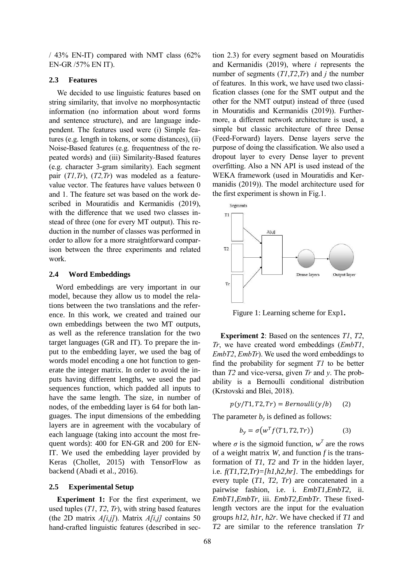/ 43% EN-IT) compared with NMT class (62% EN-GR /57% EN IT).

#### **2.3 Features**

We decided to use linguistic features based on string similarity, that involve no morphosyntactic information (no information about word forms and sentence structure), and are language independent. The features used were (i) Simple features (e.g. length in tokens, or some distances), (ii) Noise-Based features (e.g. frequentness of the repeated words) and (iii) Similarity-Based features (e.g. character 3-gram similarity). Each segment pair (*T1,Tr*), (*T2,Tr*) was modeled as a featurevalue vector. The features have values between 0 and 1. The feature set was based on the work described in Mouratidis and Kermanidis (2019), with the difference that we used two classes instead of three (one for every MT output). This reduction in the number of classes was performed in order to allow for a more straightforward comparison between the three experiments and related work.

#### **2.4 Word Embeddings**

Word embeddings are very important in our model, because they allow us to model the relations between the two translations and the reference. In this work, we created and trained our own embeddings between the two MT outputs, as well as the reference translation for the two target languages (GR and IT). To prepare the input to the embedding layer, we used the bag of words model encoding a one hot function to generate the integer matrix. In order to avoid the inputs having different lengths, we used the pad sequences function, which padded all inputs to have the same length. The size, in number of nodes, of the embedding layer is 64 for both languages. The input dimensions of the embedding layers are in agreement with the vocabulary of each language (taking into account the most frequent words): 400 for EN-GR and 200 for EN-IT. We used the embedding layer provided by Keras (Chollet, 2015) with TensorFlow as backend (Abadi et al., 2016).

#### **2.5 Experimental Setup**

**Experiment 1:** For the first experiment, we used tuples (*T1*, *T2*, *Tr*), with string based features (the 2D matrix *A[i,j]*). Matrix *A[i,j]* contains 50 hand-crafted linguistic features (described in section 2.3) for every segment based on Mouratidis and Kermanidis (2019), where *i* represents the number of segments (*T1*,*T2*,*Tr*) and *j* the number of features. In this work, we have used two classification classes (one for the SMT output and the other for the NMT output) instead of three (used in Mouratidis and Kermanidis (2019)). Furthermore, a different network architecture is used, a simple but classic architecture of three Dense (Feed-Forward) layers. Dense layers serve the purpose of doing the classification. We also used a dropout layer to every Dense layer to prevent overfitting. Also a NN API is used instead of the WEKA framework (used in Mouratidis and Kermanidis (2019)). The model architecture used for the first experiment is shown in Fig.1.



Figure 1: Learning scheme for Exp1**.**

**Experiment 2**: Based on the sentences *T1*, *T2*, *Tr*, we have created word embeddings (*EmbT1*, *EmbT2*, *EmbTr*). We used the word embeddings to find the probability for segment *T1* to be better than *T2* and vice-versa, given *Tr* and *y*. The probability is a Bernoulli conditional distribution (Krstovski and Blei, 2018).

$$
p(y/T1, T2, Tr) = Bernoulli(y/b) \qquad (2)
$$

The parameter  $b<sub>y</sub>$  is defined as follows:

$$
b_y = \sigma\big(w^T f(T1, T2, Tr)\big) \tag{3}
$$

where  $\sigma$  is the sigmoid function,  $w^T$  are the rows of a weight matrix *W*, and function *f* is the transformation of *T1*, *T2* and *Tr* in the hidden layer, i.e. *f(T1,T2,Tr)=[h1,h2,hr]*. The embeddings for every tuple (*T1, T2, Tr*) are concatenated in a pairwise fashion, i.e. i. *EmbT1,EmbT2*, ii. *EmbT1,EmbTr*, iii. *EmbT2,EmbTr*. These fixedlength vectors are the input for the evaluation groups *h12, h1r, h2r*. We have checked if *T1* and *T2* are similar to the reference translation *Tr*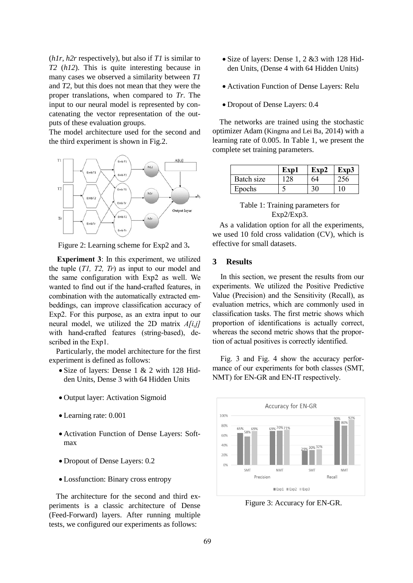(*h1r, h2r* respectively), but also if *T1* is similar to *T2* (*h12*). This is quite interesting because in many cases we observed a similarity between *T1* and *T2*, but this does not mean that they were the proper translations, when compared to *Tr*. The input to our neural model is represented by concatenating the vector representation of the outputs of these evaluation groups.

The model architecture used for the second and the third experiment is shown in Fig.2.



Figure 2: Learning scheme for Exp2 and 3**.**

**Experiment 3**: In this experiment, we utilized the tuple (*T1, T2, Tr*) as input to our model and the same configuration with Exp2 as well. We wanted to find out if the hand-crafted features, in combination with the automatically extracted embeddings, can improve classification accuracy of Exp2. For this purpose, as an extra input to our neural model, we utilized the 2D matrix *A[i,j]* with hand-crafted features (string-based), described in the Exp1.

Particularly, the model architecture for the first experiment is defined as follows:

- Size of layers: Dense 1 & 2 with 128 Hidden Units, Dense 3 with 64 Hidden Units
- Output layer: Activation Sigmoid
- Learning rate: 0.001
- Activation Function of Dense Layers: Softmax
- Dropout of Dense Layers: 0.2
- Lossfunction: Binary cross entropy

The architecture for the second and third experiments is a classic architecture of Dense (Feed-Forward) layers. After running multiple tests, we configured our experiments as follows:

- Size of layers: Dense 1, 2 &3 with 128 Hidden Units, (Dense 4 with 64 Hidden Units)
- Activation Function of Dense Layers: Relu
- Dropout of Dense Layers: 0.4

The networks are trained using the stochastic optimizer Adam (Kingma and Lei Ba, 2014) with a learning rate of 0.005. In Table 1, we present the complete set training parameters.

|            | Exp1 | Exp2 | Exp3 |
|------------|------|------|------|
| Batch size |      | 64   | 256  |
| Epochs     |      |      | 10   |

| Table 1: Training parameters for |
|----------------------------------|
| $Exp2/Exp3$ .                    |

As a validation option for all the experiments, we used 10 fold cross validation (CV), which is effective for small datasets.

#### **3 Results**

In this section, we present the results from our experiments. We utilized the Positive Predictive Value (Precision) and the Sensitivity (Recall), as evaluation metrics, which are commonly used in classification tasks. The first metric shows which proportion of identifications is actually correct, whereas the second metric shows that the proportion of actual positives is correctly identified.

Fig. 3 and Fig. 4 show the accuracy performance of our experiments for both classes (SMT, NMT) for EN-GR and EN-IT respectively.



Figure 3: Accuracy for EN-GR.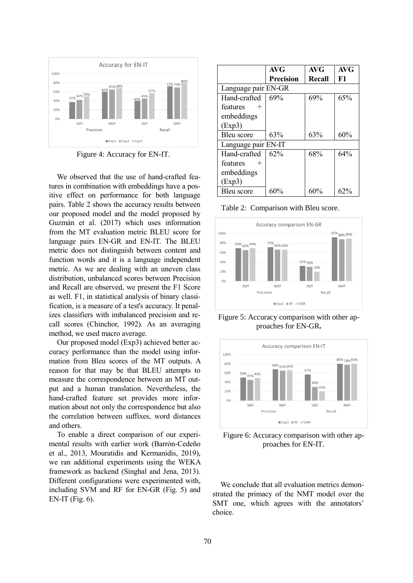

Figure 4: Accuracy for EN-IT.

We observed that the use of hand-crafted features in combination with embeddings have a positive effect on performance for both language pairs. Table 2 shows the accuracy results between our proposed model and the model proposed by Guzmán et al. (2017) which uses information from the MT evaluation metric BLEU score for language pairs EN-GR and EN-IT. The BLEU metric does not distinguish between content and function words and it is a language independent metric. As we are dealing with an uneven class distribution, unbalanced scores between Precision and Recall are observed, we present the F1 Score as well. F1, in statistical analysis of binary classification, is a measure of a test's accuracy. It penalizes classifiers with imbalanced precision and recall scores (Chinchor, 1992). As an averaging method, we used macro average.

Our proposed model (Exp3) achieved better accuracy performance than the model using information from Bleu scores of the MT outputs. A reason for that may be that BLEU attempts to measure the correspondence between an MT output and a human translation. Nevertheless, the hand-crafted feature set provides more information about not only the correspondence but also the correlation between suffixes, word distances and others.

To enable a direct comparison of our experimental results with earlier work (Barrón-Cedeño et al., 2013, Mouratidis and Kermanidis, 2019), we ran additional experiments using the WEKA framework as backend (Singhal and Jena, 2013). Different configurations were experimented with, including SVM and RF for EN-GR (Fig. 5) and  $EN-IT$  (Fig. 6).

|                     | <b>AVG</b>       | AVG    | <b>AVG</b> |  |  |
|---------------------|------------------|--------|------------|--|--|
|                     | <b>Precision</b> | Recall | F1         |  |  |
| Language pair EN-GR |                  |        |            |  |  |
| Hand-crafted        | 69%              | 69%    | 65%        |  |  |
| features<br>$^{+}$  |                  |        |            |  |  |
| embeddings          |                  |        |            |  |  |
| (Exp3)              |                  |        |            |  |  |
| Bleu score          | 63%              | 63%    | 60%        |  |  |
| Language pair EN-IT |                  |        |            |  |  |
| Hand-crafted        | 62%              | 68%    | 64%        |  |  |
| features<br>$^{+}$  |                  |        |            |  |  |
| embeddings          |                  |        |            |  |  |
| (Exp3)              |                  |        |            |  |  |
| Bleu score          | 60%              | 60%    | 62%        |  |  |

Table 2: Comparison with Bleu score.



Figure 5: Accuracy comparison with other approaches for EN-GR**.**



Figure 6: Accuracy comparison with other approaches for EN-IT.

We conclude that all evaluation metrics demonstrated the primacy of the NMT model over the SMT one, which agrees with the annotators' choice.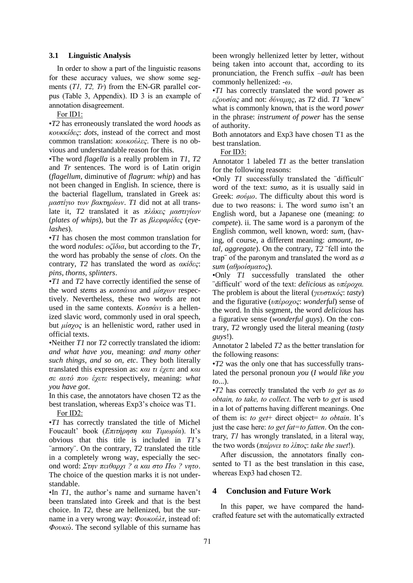#### **3.1 Linguistic Analysis**

In order to show a part of the linguistic reasons for these accuracy values, we show some segments (*T1, T2, Tr*) from the EN-GR parallel corpus (Table 3, Appendix). ID 3 is an example of annotation disagreement.

For ID1:

•*T2* has erroneously translated the word *hoods* as *κουκκίδες*: *dots*, instead of the correct and most common translation: *κουκούλες*. There is no obvious and understandable reason for this.

•The word *flagella* is a really problem in *T1*, *T2* and *Tr* sentences. The word is of Latin origin (*flagellum*, diminutive of *flagrum*: *whip*) and has not been changed in English. In science, there is the bacterial flagellum, translated in Greek as: *μαστίγιο των βακτηρίων*. *T1* did not at all translate it, *T2* translated it as *πλάκες μαστιγίων* (*plates of whips*), but the *Tr* as *βλεφαρίδες* (*eyelashes*).

•*T1* has chosen the most common translation for the word *nodules*: *οζίδια*, but according to the *Tr*, the word has probably the sense of *clots*. On the contrary, *T2* has translated the word as *ακίδες*: *pins, thorns, splinters*.

•*T1* and *T2* have correctly identified the sense of the word *stems* as *κοτσάνια* and *μίσχων* respectively. Nevertheless, these two words are not used in the same contexts. *Κοτσάνι* is a hellenized slavic word, commonly used in oral speech, but *μίσχος* is an hellenistic word, rather used in official texts.

•Neither *T1* nor *T2* correctly translated the idiom: *and what have you*, meaning: *and many other such things, and so on, etc*. They both literally translated this expression as: *και τι έχετε* and *και σε αυτό που έχετε* respectively, meaning: *what you have got*.

In this case, the annotators have chosen T2 as the best translation, whereas Exp3's choice was T1.

For ID2:

•*T1* has correctly translated the title of Michel Foucault' book (*Επιτήρηση και Τιμωρία*). It's obvious that this title is included in *T1*'s ¨armory¨. On the contrary, *T2* translated the title in a completely wrong way, especially the second word: *Στην πειθαρχι ? α και στο Πω ? νητο*. The choice of the question marks it is not understandable.

•In *T1*, the author's name and surname haven't been translated into Greek and that is the best choice. In *T2*, these are hellenized, but the surname in a very wrong way: *Φουκούλτ*, instead of: *Φουκώ*. The second syllable of this surname has

been wrongly hellenized letter by letter, without being taken into account that, according to its pronunciation, the French suffix *–ault* has been commonly hellenized: *-ω*.

•*T1* has correctly translated the word power as *εξουσίας* and not: *δύναμης*, as *T2* did. *T1* ¨knew¨ what is commonly known, that is the word *power* in the phrase: *instrument of power* has the sense of authority.

Both annotators and Exp3 have chosen T1 as the best translation.

For ID3:

Annotator 1 labeled *T1* as the better translation for the following reasons:

•Only *T1* successfully translated the ¨difficult¨ word of the text: *sumo*, as it is usually said in Greek: *σούμο*. The difficulty about this word is due to two reasons: i. The word *sumo* isn't an English word, but a Japanese one (meaning: *to compete*). ii. The same word is a paronym of the English common, well known, word: *sum*, (having, of course, a different meaning: *amount, total, aggregate*). On the contrary, *T2* ¨fell into the trap¨ of the paronym and translated the word as *a sum* (*αθροίσματος*).

•Only *T1* successfully translated the other ¨difficult¨ word of the text: *delicious* as *υπέροχα.* The problem is about the literal (*γευστικός*: *tasty*) and the figurative (*υπέροχος*: *wonderful*) sense of the word. In this segment, the word *delicious* has a figurative sense (*wonderful guys*). On the contrary, *T2* wrongly used the literal meaning (*tasty guys*!).

Annotator 2 labeled *T2* as the better translation for the following reasons:

•*T2* was the only one that has successfully translated the personal pronoun *you* (*I would like you to*...).

•*T2* has correctly translated the verb *to get* as *to obtain, to take, to collect*. The verb t*o get* is used in a lot of patterns having different meanings. One of them is: *to get*+ direct object= *to obtain*. It's just the case here: *to get fat=to fatten*. On the contrary, *T1* has wrongly translated, in a literal way, the two words (*παίρνει το λίπος*: *take the suet*!).

After discussion, the annotators finally consented to T1 as the best translation in this case, whereas Exp3 had chosen T2.

## **4 Conclusion and Future Work**

In this paper, we have compared the handcrafted feature set with the automatically extracted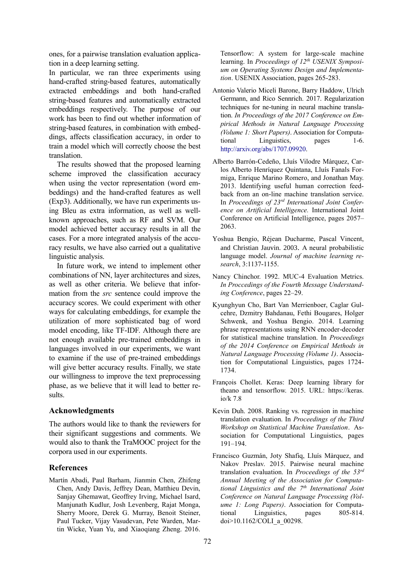ones, for a pairwise translation evaluation application in a deep learning setting.

In particular, we ran three experiments using hand-crafted string-based features, automatically extracted embeddings and both hand-crafted string-based features and automatically extracted embeddings respectively. The purpose of our work has been to find out whether information of string-based features, in combination with embeddings, affects classification accuracy, in order to train a model which will correctly choose the best translation.

The results showed that the proposed learning scheme improved the classification accuracy when using the vector representation (word embeddings) and the hand-crafted features as well (Exp3). Additionally, we have run experiments using Bleu as extra information, as well as wellknown approaches, such as RF and SVM. Our model achieved better accuracy results in all the cases. For a more integrated analysis of the accuracy results, we have also carried out a qualitative linguistic analysis.

In future work, we intend to implement other combinations of NN, layer architectures and sizes, as well as other criteria. We believe that information from the *src* sentence could improve the accuracy scores. We could experiment with other ways for calculating embeddings, for example the utilization of more sophisticated bag of word model encoding, like TF-IDF. Although there are not enough available pre-trained embeddings in languages involved in our experiments, we want to examine if the use of pre-trained embeddings will give better accuracy results. Finally, we state our willingness to improve the text preprocessing phase, as we believe that it will lead to better results.

#### **Acknowledgments**

The authors would like to thank the reviewers for their significant suggestions and comments. We would also to thank the TraMOOC project for the corpora used in our experiments.

#### **References**

Martín Abadi, Paul Barham, Jianmin Chen, Zhifeng Chen, Andy Davis, Jeffrey Dean, Matthieu Devin, Sanjay Ghemawat, Geoffrey Irving, Michael Isard, Manjunath Kudlur, Josh Levenberg, Rajat Monga, Sherry Moore, Derek G. Murray, Benoit Steiner, Paul Tucker, Vijay Vasudevan, Pete Warden, Martin Wicke, Yuan Yu, and Xiaoqiang Zheng. 2016.

Tensorflow: A system for large-scale machine learning. In *Proceedings of 12th USENIX Symposium on Operating Systems Design and Implementation*. USENIX Association, pages 265-283.

- [Antonio Valerio Miceli Barone,](https://arxiv.org/search/cs?searchtype=author&query=Barone%2C+A+V+M) [Barry Haddow,](https://arxiv.org/search/cs?searchtype=author&query=Haddow%2C+B) [Ulrich](https://arxiv.org/search/cs?searchtype=author&query=Germann%2C+U)  [Germann,](https://arxiv.org/search/cs?searchtype=author&query=Germann%2C+U) and [Rico Sennrich.](https://arxiv.org/search/cs?searchtype=author&query=Sennrich%2C+R) 2017. Regularization techniques for ne-tuning in neural machine translation. *In Proceedings of the 2017 Conference on Empirical Methods in Natural Language Processing (Volume 1: Short Papers)*. Association for Computational Linguistics, pages 1-6. [http://arxiv.org/abs/1707.09920.](http://arxiv.org/abs/1707.09920)
- Alberto Barrón-Cedeño, Lluís Vilodre Màrquez, Carlos Alberto Henríquez Quintana, Lluís Fanals Formiga, Enrique Marino Romero, and Jonathan May. 2013. Identifying useful human correction feedback from an on-line machine translation service. In *Proceedings of 23rd International Joint Conference on Artificial Intelligence.* International Joint Conference on Artificial Intelligence, pages 2057– 2063.
- Yoshua Bengio, Réjean Ducharme, Pascal Vincent, and Christian Jauvin. 2003. A neural probabilistic language model. *Journal of machine learning research*, 3:1137-1155.
- Nancy Chinchor. 1992. MUC-4 Evaluation Metrics. *In Proccedings of the Fourth Message Understanding Conference*, pages 22–29.
- Kyunghyun Cho, Bart Van Merrienboer, Caglar Gulcehre, Dzmitry Bahdanau, Fethi Bougares, Holger Schwenk, and Yoshua Bengio. 2014. Learning phrase representations using RNN encoder-decoder for statistical machine translation. In *Proceedings of the 2014 Conference on Empirical Methods in Natural Language Processing (Volume 1)*. Association for Computational Linguistics, pages 1724- 1734.
- François Chollet. Keras: Deep learning library for theano and tensorflow. 2015. URL: https://keras. io/k 7.8
- Kevin Duh. 2008. Ranking vs. regression in machine translation evaluation. In *Proceedings of the Third Workshop on Statistical Machine Translation*. Association for Computational Linguistics, pages 191–194.
- Francisco Guzmán, Joty Shafiq, Lluís Màrquez, and Nakov Preslav. 2015. Pairwise neural machine translation evaluation. In *Proceedings of the 53rd Annual Meeting of the Association for Computational Linguistics and the 7th International Joint Conference on Natural Language Processing (Volume 1: Long Papers)*. Association for Computational Linguistics, pages 805-814. doi>10.1162/COLI\_a\_00298.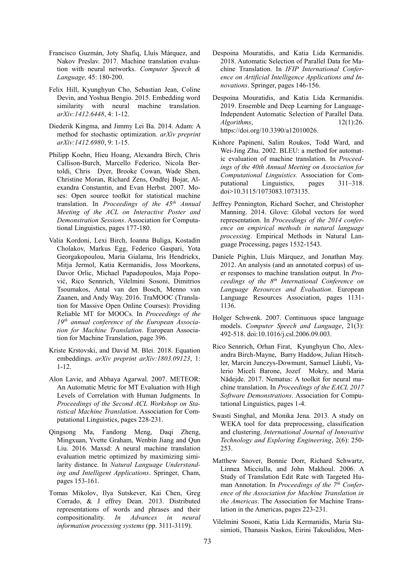- Francisco Guzmán, Joty Shafiq, Lluís Màrquez, and Nakov Preslav. 2017. Machine translation evaluation with neural networks. *Computer Speech & Language,* 45: 180-200.
- Felix Hill, Kyunghyun Cho, Sebastian Jean, Coline Devin, and Yoshua Bengio. 2015. Embedding word similarity with neural machine translation. *arXiv:1412.6448*, 4: 1-12.
- Diederik Kingma, and Jimmy Lei Ba. 2014. Adam: A method for stochastic optimization. *arXiv preprint arXiv:1412.6980*, 9: 1-15.
- Philipp Koehn, Hieu Hoang, Alexandra Birch, Chris Callison-Burch, Marcello Federico, Nicola Bertoldi, Chris Dyer, Brooke Cowan, Wade Shen, Christine Moran, Richard Zens, Ondřej Bojar, Alexandra Constantin, and Evan Herbst. 2007. Moses: Open source toolkit for statistical machine translation. In *Proceedings of the 45th Annual Meeting of the ACL on Interactive Poster and Demonstration Sessions*. Association for Computational Linguistics, pages 177-180.
- Valia Kordoni, Lexi Birch, Ioanna Buliga, Kostadin Cholakov, Markus Egg, Federico Gaspari, Yota Georgakopoulou, Maria Gialama, Iris Hendrickx, Mitja Jermol, Katia Kermanidis, Joss Moorkens, Davor Orlic, Michael Papadopoulos, Maja Popović, Rico Sennrich, Vilelmini Sosoni, Dimitrios Tsoumakos, Antal van den Bosch, Menno van Zaanen, and Andy Way. 2016. TraMOOC (Translation for Massive Open Online Courses): Providing Reliable MT for MOOCs. In *Proceedings of the 19th annual conference of the European Association for Machine Translation*. European Association for Machine Translation, page 396.
- Kriste Krstovski, and David M. Blei. 2018. Equation embeddings. *arXiv preprint arXiv:1803.09123*, 1: 1-12.
- Alon Lavie, and Abhaya Agarwal. 2007. METEOR: An Automatic Metric for MT Evaluation with High Levels of Correlation with Human Judgments. In *Proceedings of the Second ACL Workshop on Statistical Machine Translation*. Association for Computational Linguistics, pages 228-231.
- Qingsong Ma, Fandong Meng, Daqi Zheng, Mingxuan, Yvette Graham, Wenbin Jiang and Qun Liu. 2016. Maxsd: A neural machine translation evaluation metric optimized by maximizing similarity distance. In *Natural Language Understanding and Intelligent Applications*. Springer, Cham, pages 153-161.
- Tomas Mikolov, Ilya Sutskever, Kai Chen, Greg Corrado, & J effrey Dean. 2013. Distributed representations of words and phrases and their compositionality. *In Advances in neural information processing systems* (pp. 3111-3119).
- Despoina Mouratidis, and Katia Lida Kermanidis. 2018. Automatic Selection of Parallel Data for Machine Translation. In *IFIP International Conference on Artificial Intelligence Applications and Innovations*. Springer, pages 146-156.
- Despoina Mouratidis, and Katia Lida Kermanidis. 2019. Ensemble and Deep Learning for Language-Independent Automatic Selection of Parallel Data. *Algorithms*, 12(1):26. https://doi.org/10.3390/a12010026.
- Kishore Papineni, Salim Roukos, Todd Ward, and Wei-Jing Zhu. 2002. BLEU: a method for automatic evaluation of machine translation. In *Proceedings of the 40th Annual Meeting on Association for Computational Linguistics.* Association for Computational Linguistics, pages 311–318. doi>10.3115/1073083.1073135.
- Jeffrey Pennington, Richard Socher, and Christopher Manning. 2014. Glove: Global vectors for word representation. In *Proceedings of the 2014 conference on empirical methods in natural language processing*. Empirical Methods in Natural Language Processing, pages 1532-1543.
- Daniele Pighin, Lluís Màrquez, and Jonathan May. 2012. An analysis (and an annotated corpus) of user responses to machine translation output. In *Proceedings of the 8th International Conference on Language Resources and Evaluation*. European Language Resources Association, pages 1131- 1136.
- Holger Schwenk. 2007. Continuous space language models. *Computer Speech and Language*, 21(3): 492-518. doi:10.1016/j.csl.2006.09.003.
- Rico Sennrich, Orhan Firat, Kyunghyun Cho, Alexandra Birch-Mayne, Barry Haddow, Julian Hitschler, Marcin Junczys-Dowmunt, Samuel Läubli, Valerio Miceli Barone, Jozef Mokry, and Maria Nădejde. 2017. Nematus: A toolkit for neural machine translation. In *Proceedings of the EACL 2017 Software Demonstrations*. Association for Computational Linguistics, pages 1-4.
- Swasti Singhal, and Monika Jena. 2013. A study on WEKA tool for data preprocessing, classification and clustering. *International Journal of Innovative Technology and Exploring Engineering*, 2(6): 250- 253.
- Matthew Snover, Bonnie Dorr, Richard Schwartz, Linnea Micciulla, and John Makhoul. 2006. A Study of Translation Edit Rate with Targeted Human Annotation. In *Proceedings of the 7th Conference of the Association for Machine Translation in the Americas*. The Association for Machine Translation in the Americas, pages 223-231.
- Vilelmini Sosoni, Katia Lida Kermanidis, Maria Stasimioti, Thanasis Naskos, Eirini Takoulidou, Men-